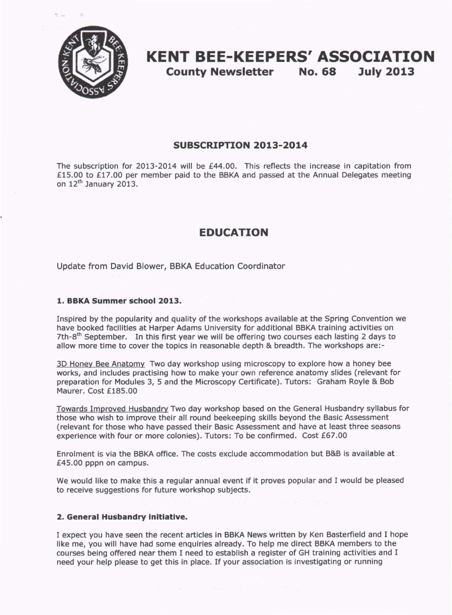

# **KENT BEE-KEEPERS' ASSOCIATION**

**County Newsletter** No. 68 **July 2013**

#### **SUBSCRIPTION 2013-2014**

The subscription for 2013-2014 will be £44.00. This reflects the increase in capitation from £15.00 to £17.00 per member paid to the BBKA and passed at the Annual Delegates meeting on  $12<sup>th</sup>$  January 2013.

# **EDUCATION**

Update from David Blower, BBKA Education Coordinator

#### **1. BBKA Summer school 2013.**

Inspired by the popularity and quality of the workshops available at the Spring Convention we have booked facilities at Harper Adams University for additional BBKA training activities on 7th-8<sup>th</sup> September. In this first year we will be offering two courses each lasting 2 days to allow more time to cover the topics in reasonable depth & breadth. The workshops are:-

3D Honey Bee Anatomy Two day workshop using microscopy to explore how a honey bee works, and includes practising how to make your own reference anatomy slides (relevant for preparation for Modules 3, 5 and the Microscopy Certificate). Tutors: Graham Royle & Bob Maurer. Cost £185.00

Towards Improved Husbandry Two day workshop based on the General Husbandry syllabus for those who wish to improve their all round beekeeping skills beyond the Basic Assessment (relevant for those who have passed their Basic Assessment and have at least three seasons experience with four or more colonies). Tutors: To be confirmed. Cost £67.00

Enrolment is via the BBKA office. The costs exclude accommodation but B&B is available at £45.00 pppn on campus.

We would like to make this a regular annual event if it proves popular and I would be pleased to receive suggestions for future workshop subjects.

#### **2. General Husbandry initiative.**

I expect you have seen the recent articles in BBKA News written by Ken Basterfield and I hope like me, you will have had some enquiries already. To help me direct BBKA members to the courses being offered near them I need to establish a register of GH training activities and I need your help please to get this in place. If your association is investigating or running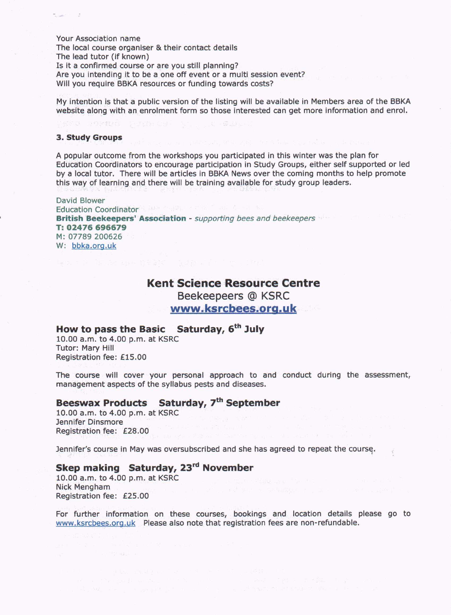Your Association name

The local course organiser & their contact details

The lead tutor (if known)

Is it a confirmed course or are you still planning?

Are you intending it to be a one off event or a multi session event?

Will you require BBKA resources or funding towards costs?

My intention is that a public version of the listing will be available in Members area of the BBKA website along with an enrolment form so those interested can get more information and enrol.

#### **3. Study Groups**

A popular outcome from the workshops you participated in this winter was the plan for Education Coordinators to encourage participation in Study Groups, either self supported or led by a local tutor. There will be articles in BBKA News over the coming months to help promote this way of learning and there will be training available for study group leaders.

David Blower Education Coordinator Representation of the County **British Beekeepers' Association -** *supporting bees and beekeepers* **T:02476 696679** M: 07789 200626 W: bbka.org.uk

# **Kent Science Resource Centre Beekeepeers @ KSRC [www.ksrcbees.orq.uk](http://www.ksrcbees.orq.uk)**

# **How to passthe Basic Saturday, 6 th July**

10.00 a.m. to 4.00 p.m. at KSRC Tutor: Mary Hill Registration fee: £15.00

The course will cover your personal approach to and conduct during the assessment, management aspects of the syllabus pests and diseases.

## **Beeswax Products Saturday, 7th September**

10.00 a.m. to 4.00 p.m. at KSRC Jennifer Dinsmore Registration fee: £28.00

Jennifer's course in May was oversubscribed and she has agreed to repeat the course.

# **Skep making Saturday, 23rd November**

10.00 a.m. to 4.00 p.m. at KSRC Nick Mengham Registration fee: £25.00

For further information on these courses, bookings and location details please go to [www.ksrcbees.org.uk](http://www.ksrcbees.org.uk) Please also note that registration fees are non-refundable.